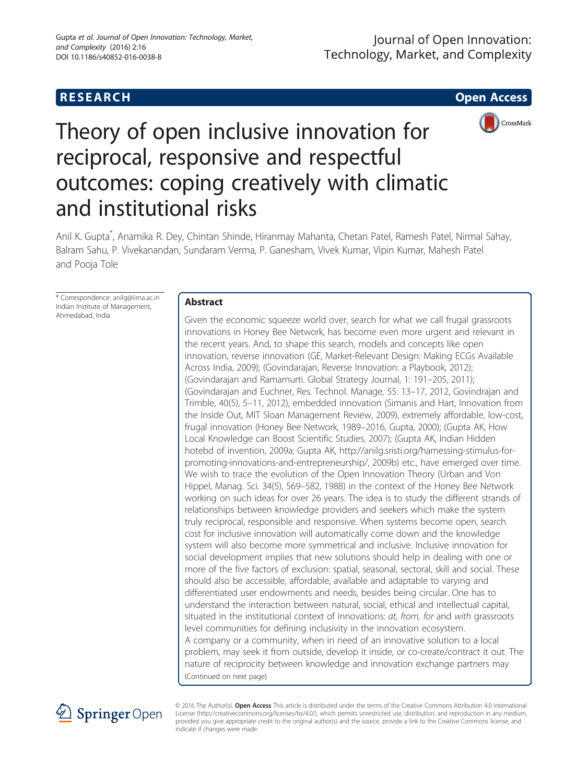# **RESEARCH CHE Open Access**



# Theory of open inclusive innovation for reciprocal, responsive and respectful outcomes: coping creatively with climatic and institutional risks

Anil K. Gupta\* , Anamika R. Dey, Chintan Shinde, Hiranmay Mahanta, Chetan Patel, Ramesh Patel, Nirmal Sahay, Balram Sahu, P. Vivekanandan, Sundaram Verma, P. Ganesham, Vivek Kumar, Vipin Kumar, Mahesh Patel and Pooja Tole

\* Correspondence: [anilg@iima.ac.in](mailto:anilg@iima.ac.in) Indian Institute of Management, Ahmedabad, India

# Abstract

Given the economic squeeze world over, search for what we call frugal grassroots innovations in Honey Bee Network, has become even more urgent and relevant in the recent years. And, to shape this search, models and concepts like open innovation, reverse innovation (GE, Market-Relevant Design: Making ECGs Available Across India, 2009); (Govindarajan, Reverse Innovation: a Playbook, 2012); (Govindarajan and Ramamurti. Global Strategy Journal, 1: 191–205, 2011); (Govindarajan and Euchner, Res. Technol. Manage, 55: 13–17, 2012, Govindrajan and Trimble, 40(5), 5–11, 2012), embedded innovation (Simanis and Hart, Innovation from the Inside Out, MIT Sloan Management Review, 2009), extremely affordable, low-cost, frugal innovation (Honey Bee Network, 1989–2016, Gupta, 2000); (Gupta AK, How Local Knowledge can Boost Scientific Studies, 2007); (Gupta AK, Indian Hidden hotebd of invention, 2009a; Gupta AK, [http://anilg.sristi.org/harnessing-stimulus-for](http://anilg.sristi.org/harnessing-stimulus-for-promoting-innovations-and-entrepreneurship/)[promoting-innovations-and-entrepreneurship/,](http://anilg.sristi.org/harnessing-stimulus-for-promoting-innovations-and-entrepreneurship/) 2009b) etc., have emerged over time. We wish to trace the evolution of the Open Innovation Theory (Urban and Von Hippel, Manag. Sci. 34(5), 569–582, 1988) in the context of the Honey Bee Network working on such ideas for over 26 years. The idea is to study the different strands of relationships between knowledge providers and seekers which make the system truly reciprocal, responsible and responsive. When systems become open, search cost for inclusive innovation will automatically come down and the knowledge system will also become more symmetrical and inclusive. Inclusive innovation for social development implies that new solutions should help in dealing with one or more of the five factors of exclusion: spatial, seasonal, sectoral, skill and social. These should also be accessible, affordable, available and adaptable to varying and differentiated user endowments and needs, besides being circular. One has to understand the interaction between natural, social, ethical and intellectual capital, situated in the institutional context of innovations: *at, from, for and with grassroots* level communities for defining inclusivity in the innovation ecosystem. A company or a community, when in need of an innovative solution to a local problem, may seek it from outside, develop it inside, or co-create/contract it out. The nature of reciprocity between knowledge and innovation exchange partners may (Continued on next page)



© 2016 The Author(s). Open Access This article is distributed under the terms of the Creative Commons Attribution 4.0 International License [\(http://creativecommons.org/licenses/by/4.0/](http://creativecommons.org/licenses/by/4.0/)), which permits unrestricted use, distribution, and reproduction in any medium, provided you give appropriate credit to the original author(s) and the source, provide a link to the Creative Commons license, and indicate if changes were made.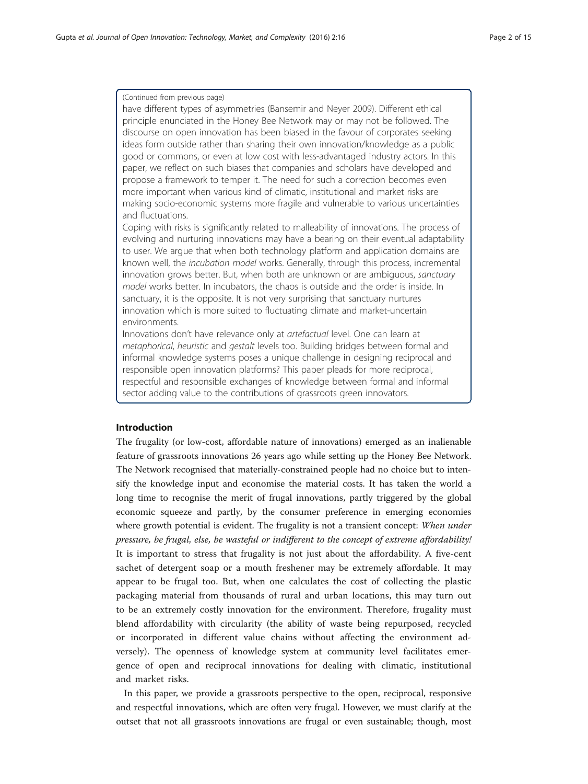### (Continued from previous page)

have different types of asymmetries (Bansemir and Neyer [2009\)](#page-12-0). Different ethical principle enunciated in the Honey Bee Network may or may not be followed. The discourse on open innovation has been biased in the favour of corporates seeking ideas form outside rather than sharing their own innovation/knowledge as a public good or commons, or even at low cost with less-advantaged industry actors. In this paper, we reflect on such biases that companies and scholars have developed and propose a framework to temper it. The need for such a correction becomes even more important when various kind of climatic, institutional and market risks are making socio-economic systems more fragile and vulnerable to various uncertainties and fluctuations.

Coping with risks is significantly related to malleability of innovations. The process of evolving and nurturing innovations may have a bearing on their eventual adaptability to user. We argue that when both technology platform and application domains are known well, the incubation model works. Generally, through this process, incremental innovation grows better. But, when both are unknown or are ambiguous, sanctuary model works better. In incubators, the chaos is outside and the order is inside. In sanctuary, it is the opposite. It is not very surprising that sanctuary nurtures innovation which is more suited to fluctuating climate and market-uncertain environments.

Innovations don't have relevance only at artefactual level. One can learn at metaphorical, heuristic and gestalt levels too. Building bridges between formal and informal knowledge systems poses a unique challenge in designing reciprocal and responsible open innovation platforms? This paper pleads for more reciprocal, respectful and responsible exchanges of knowledge between formal and informal sector adding value to the contributions of grassroots green innovators.

# Introduction

The frugality (or low-cost, affordable nature of innovations) emerged as an inalienable feature of grassroots innovations 26 years ago while setting up the Honey Bee Network. The Network recognised that materially-constrained people had no choice but to intensify the knowledge input and economise the material costs. It has taken the world a long time to recognise the merit of frugal innovations, partly triggered by the global economic squeeze and partly, by the consumer preference in emerging economies where growth potential is evident. The frugality is not a transient concept: When under pressure, be frugal, else, be wasteful or indifferent to the concept of extreme affordability! It is important to stress that frugality is not just about the affordability. A five-cent sachet of detergent soap or a mouth freshener may be extremely affordable. It may appear to be frugal too. But, when one calculates the cost of collecting the plastic packaging material from thousands of rural and urban locations, this may turn out to be an extremely costly innovation for the environment. Therefore, frugality must blend affordability with circularity (the ability of waste being repurposed, recycled or incorporated in different value chains without affecting the environment adversely). The openness of knowledge system at community level facilitates emergence of open and reciprocal innovations for dealing with climatic, institutional and market risks.

In this paper, we provide a grassroots perspective to the open, reciprocal, responsive and respectful innovations, which are often very frugal. However, we must clarify at the outset that not all grassroots innovations are frugal or even sustainable; though, most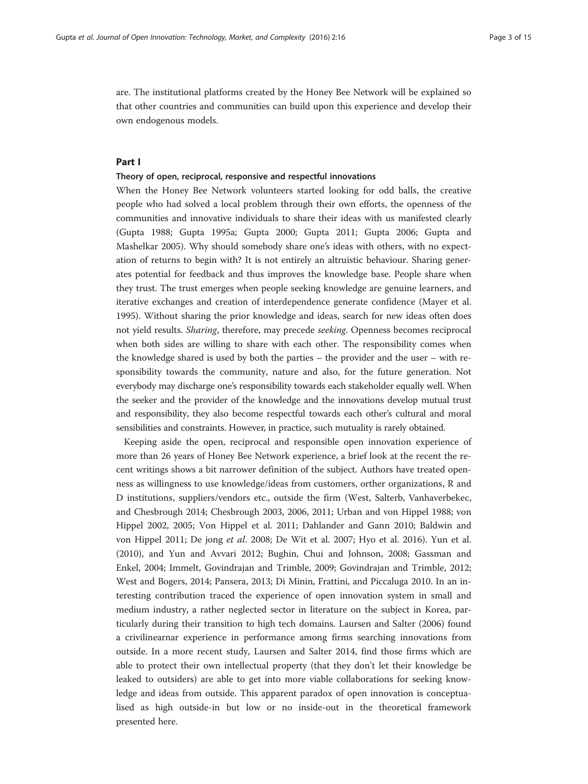are. The institutional platforms created by the Honey Bee Network will be explained so that other countries and communities can build upon this experience and develop their own endogenous models.

# Part I

#### Theory of open, reciprocal, responsive and respectful innovations

When the Honey Bee Network volunteers started looking for odd balls, the creative people who had solved a local problem through their own efforts, the openness of the communities and innovative individuals to share their ideas with us manifested clearly (Gupta [1988;](#page-12-0) Gupta [1995a](#page-12-0); Gupta [2000](#page-13-0); Gupta [2011](#page-13-0); Gupta [2006](#page-13-0); Gupta and Mashelkar [2005](#page-13-0)). Why should somebody share one's ideas with others, with no expectation of returns to begin with? It is not entirely an altruistic behaviour. Sharing generates potential for feedback and thus improves the knowledge base. People share when they trust. The trust emerges when people seeking knowledge are genuine learners, and iterative exchanges and creation of interdependence generate confidence (Mayer et al. [1995](#page-13-0)). Without sharing the prior knowledge and ideas, search for new ideas often does not yield results. Sharing, therefore, may precede seeking. Openness becomes reciprocal when both sides are willing to share with each other. The responsibility comes when the knowledge shared is used by both the parties – the provider and the user – with responsibility towards the community, nature and also, for the future generation. Not everybody may discharge one's responsibility towards each stakeholder equally well. When the seeker and the provider of the knowledge and the innovations develop mutual trust and responsibility, they also become respectful towards each other's cultural and moral sensibilities and constraints. However, in practice, such mutuality is rarely obtained.

Keeping aside the open, reciprocal and responsible open innovation experience of more than 26 years of Honey Bee Network experience, a brief look at the recent the recent writings shows a bit narrower definition of the subject. Authors have treated openness as willingness to use knowledge/ideas from customers, orther organizations, R and D institutions, suppliers/vendors etc., outside the firm (West, Salterb, Vanhaverbekec, and Chesbrough [2014](#page-14-0); Chesbrough [2003, 2006, 2011;](#page-12-0) Urban and von Hippel [1988](#page-14-0); von Hippel [2002](#page-14-0), [2005](#page-14-0); Von Hippel et al. [2011;](#page-14-0) Dahlander and Gann [2010;](#page-12-0) Baldwin and von Hippel [2011](#page-12-0); De jong et al. [2008;](#page-12-0) De Wit et al. [2007;](#page-12-0) Hyo et al. [2016\)](#page-13-0). Yun et al. ([2010](#page-14-0)), and Yun and Avvari [2012](#page-14-0); Bughin, Chui and Johnson, [2008;](#page-12-0) Gassman and Enkel, [2004;](#page-12-0) Immelt, Govindrajan and Trimble, [2009;](#page-13-0) Govindrajan and Trimble, [2012](#page-12-0); West and Bogers, [2014](#page-14-0); Pansera, [2013](#page-14-0); Di Minin, Frattini, and Piccaluga [2010](#page-12-0). In an interesting contribution traced the experience of open innovation system in small and medium industry, a rather neglected sector in literature on the subject in Korea, particularly during their transition to high tech domains. Laursen and Salter ([2006](#page-13-0)) found a crivilinearnar experience in performance among firms searching innovations from outside. In a more recent study, Laursen and Salter [2014,](#page-13-0) find those firms which are able to protect their own intellectual property (that they don't let their knowledge be leaked to outsiders) are able to get into more viable collaborations for seeking knowledge and ideas from outside. This apparent paradox of open innovation is conceptualised as high outside-in but low or no inside-out in the theoretical framework presented here.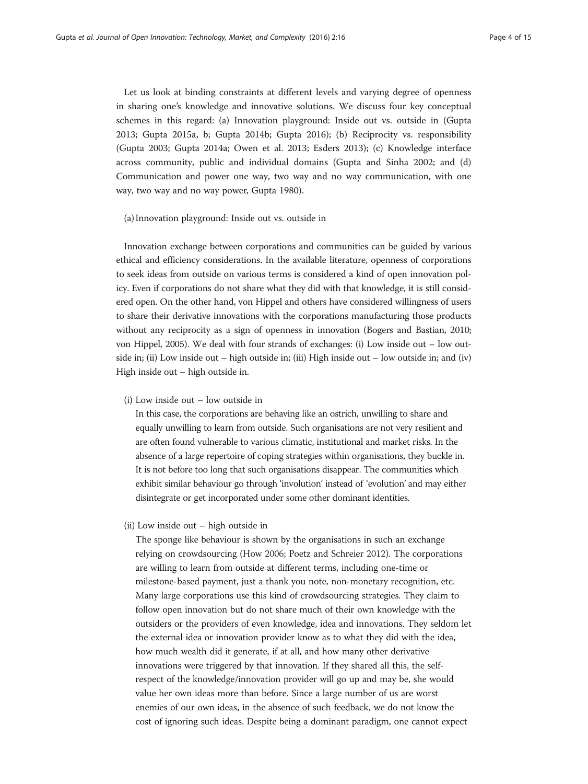Let us look at binding constraints at different levels and varying degree of openness in sharing one's knowledge and innovative solutions. We discuss four key conceptual schemes in this regard: (a) Innovation playground: Inside out vs. outside in (Gupta [2013](#page-13-0); Gupta [2015a, b](#page-13-0); Gupta [2014b](#page-13-0); Gupta [2016](#page-13-0)); (b) Reciprocity vs. responsibility (Gupta [2003](#page-13-0); Gupta [2014a;](#page-13-0) Owen et al. [2013](#page-13-0); Esders [2013](#page-12-0)); (c) Knowledge interface across community, public and individual domains (Gupta and Sinha [2002;](#page-13-0) and (d) Communication and power one way, two way and no way communication, with one way, two way and no way power, Gupta [1980\)](#page-12-0).

#### (a) Innovation playground: Inside out vs. outside in

Innovation exchange between corporations and communities can be guided by various ethical and efficiency considerations. In the available literature, openness of corporations to seek ideas from outside on various terms is considered a kind of open innovation policy. Even if corporations do not share what they did with that knowledge, it is still considered open. On the other hand, von Hippel and others have considered willingness of users to share their derivative innovations with the corporations manufacturing those products without any reciprocity as a sign of openness in innovation (Bogers and Bastian, [2010](#page-12-0); von Hippel, [2005\)](#page-14-0). We deal with four strands of exchanges: (i) Low inside out – low outside in; (ii) Low inside out – high outside in; (iii) High inside out – low outside in; and (iv) High inside out – high outside in.

(i) Low inside out – low outside in

In this case, the corporations are behaving like an ostrich, unwilling to share and equally unwilling to learn from outside. Such organisations are not very resilient and are often found vulnerable to various climatic, institutional and market risks. In the absence of a large repertoire of coping strategies within organisations, they buckle in. It is not before too long that such organisations disappear. The communities which exhibit similar behaviour go through 'involution' instead of 'evolution' and may either disintegrate or get incorporated under some other dominant identities.

(ii) Low inside out – high outside in

The sponge like behaviour is shown by the organisations in such an exchange relying on crowdsourcing (How [2006;](#page-13-0) Poetz and Schreier [2012\)](#page-14-0). The corporations are willing to learn from outside at different terms, including one-time or milestone-based payment, just a thank you note, non-monetary recognition, etc. Many large corporations use this kind of crowdsourcing strategies. They claim to follow open innovation but do not share much of their own knowledge with the outsiders or the providers of even knowledge, idea and innovations. They seldom let the external idea or innovation provider know as to what they did with the idea, how much wealth did it generate, if at all, and how many other derivative innovations were triggered by that innovation. If they shared all this, the selfrespect of the knowledge/innovation provider will go up and may be, she would value her own ideas more than before. Since a large number of us are worst enemies of our own ideas, in the absence of such feedback, we do not know the cost of ignoring such ideas. Despite being a dominant paradigm, one cannot expect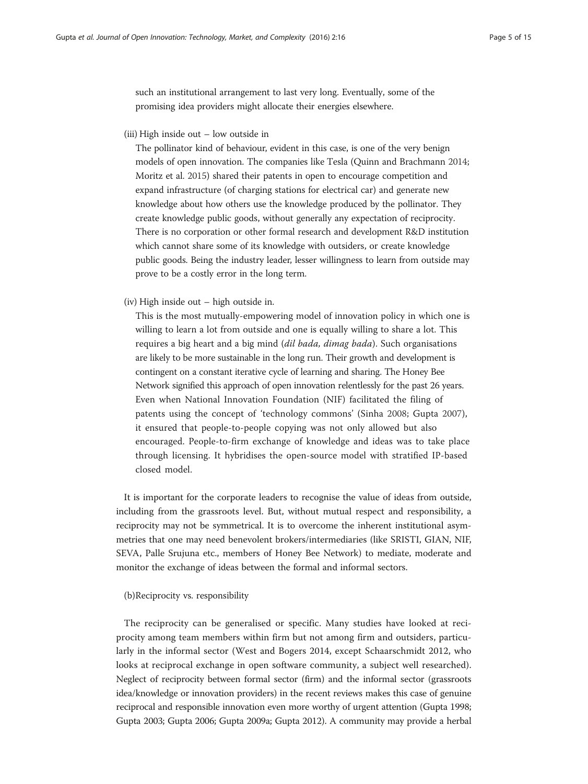such an institutional arrangement to last very long. Eventually, some of the promising idea providers might allocate their energies elsewhere.

(iii) High inside out – low outside in

The pollinator kind of behaviour, evident in this case, is one of the very benign models of open innovation. The companies like Tesla (Quinn and Brachmann [2014](#page-14-0); Moritz et al. [2015](#page-13-0)) shared their patents in open to encourage competition and expand infrastructure (of charging stations for electrical car) and generate new knowledge about how others use the knowledge produced by the pollinator. They create knowledge public goods, without generally any expectation of reciprocity. There is no corporation or other formal research and development R&D institution which cannot share some of its knowledge with outsiders, or create knowledge public goods. Being the industry leader, lesser willingness to learn from outside may prove to be a costly error in the long term.

(iv) High inside out – high outside in.

This is the most mutually-empowering model of innovation policy in which one is willing to learn a lot from outside and one is equally willing to share a lot. This requires a big heart and a big mind (dil bada, dimag bada). Such organisations are likely to be more sustainable in the long run. Their growth and development is contingent on a constant iterative cycle of learning and sharing. The Honey Bee Network signified this approach of open innovation relentlessly for the past 26 years. Even when National Innovation Foundation (NIF) facilitated the filing of patents using the concept of 'technology commons' (Sinha [2008](#page-14-0); Gupta [2007](#page-13-0)), it ensured that people-to-people copying was not only allowed but also encouraged. People-to-firm exchange of knowledge and ideas was to take place through licensing. It hybridises the open-source model with stratified IP-based closed model.

It is important for the corporate leaders to recognise the value of ideas from outside, including from the grassroots level. But, without mutual respect and responsibility, a reciprocity may not be symmetrical. It is to overcome the inherent institutional asymmetries that one may need benevolent brokers/intermediaries (like SRISTI, GIAN, NIF, SEVA, Palle Srujuna etc., members of Honey Bee Network) to mediate, moderate and monitor the exchange of ideas between the formal and informal sectors.

(b)Reciprocity vs. responsibility

The reciprocity can be generalised or specific. Many studies have looked at reciprocity among team members within firm but not among firm and outsiders, particularly in the informal sector (West and Bogers [2014,](#page-14-0) except Schaarschmidt [2012](#page-14-0), who looks at reciprocal exchange in open software community, a subject well researched). Neglect of reciprocity between formal sector (firm) and the informal sector (grassroots idea/knowledge or innovation providers) in the recent reviews makes this case of genuine reciprocal and responsible innovation even more worthy of urgent attention (Gupta [1998](#page-12-0); Gupta [2003;](#page-13-0) Gupta [2006](#page-13-0); Gupta [2009a;](#page-13-0) Gupta [2012\)](#page-13-0). A community may provide a herbal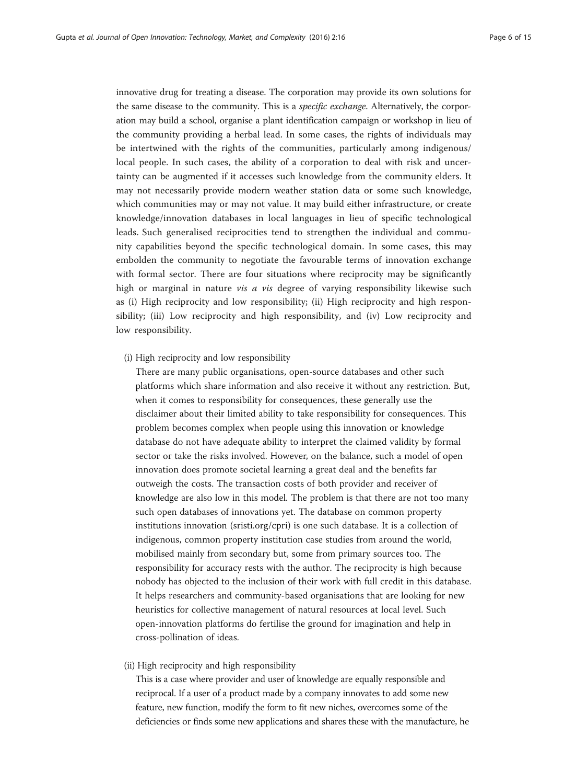innovative drug for treating a disease. The corporation may provide its own solutions for the same disease to the community. This is a specific exchange. Alternatively, the corporation may build a school, organise a plant identification campaign or workshop in lieu of the community providing a herbal lead. In some cases, the rights of individuals may be intertwined with the rights of the communities, particularly among indigenous/ local people. In such cases, the ability of a corporation to deal with risk and uncertainty can be augmented if it accesses such knowledge from the community elders. It may not necessarily provide modern weather station data or some such knowledge, which communities may or may not value. It may build either infrastructure, or create knowledge/innovation databases in local languages in lieu of specific technological leads. Such generalised reciprocities tend to strengthen the individual and community capabilities beyond the specific technological domain. In some cases, this may embolden the community to negotiate the favourable terms of innovation exchange with formal sector. There are four situations where reciprocity may be significantly high or marginal in nature *vis a vis* degree of varying responsibility likewise such as (i) High reciprocity and low responsibility; (ii) High reciprocity and high responsibility; (iii) Low reciprocity and high responsibility, and (iv) Low reciprocity and low responsibility.

(i) High reciprocity and low responsibility

There are many public organisations, open-source databases and other such platforms which share information and also receive it without any restriction. But, when it comes to responsibility for consequences, these generally use the disclaimer about their limited ability to take responsibility for consequences. This problem becomes complex when people using this innovation or knowledge database do not have adequate ability to interpret the claimed validity by formal sector or take the risks involved. However, on the balance, such a model of open innovation does promote societal learning a great deal and the benefits far outweigh the costs. The transaction costs of both provider and receiver of knowledge are also low in this model. The problem is that there are not too many such open databases of innovations yet. The database on common property institutions innovation (sristi.org/cpri) is one such database. It is a collection of indigenous, common property institution case studies from around the world, mobilised mainly from secondary but, some from primary sources too. The responsibility for accuracy rests with the author. The reciprocity is high because nobody has objected to the inclusion of their work with full credit in this database. It helps researchers and community-based organisations that are looking for new heuristics for collective management of natural resources at local level. Such open-innovation platforms do fertilise the ground for imagination and help in cross-pollination of ideas.

(ii) High reciprocity and high responsibility

This is a case where provider and user of knowledge are equally responsible and reciprocal. If a user of a product made by a company innovates to add some new feature, new function, modify the form to fit new niches, overcomes some of the deficiencies or finds some new applications and shares these with the manufacture, he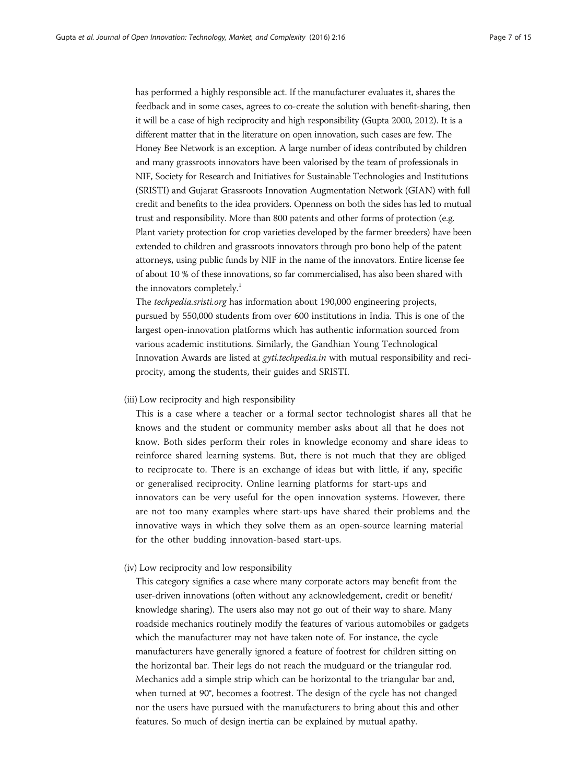has performed a highly responsible act. If the manufacturer evaluates it, shares the feedback and in some cases, agrees to co-create the solution with benefit-sharing, then it will be a case of high reciprocity and high responsibility (Gupta [2000,](#page-13-0) [2012](#page-13-0)). It is a different matter that in the literature on open innovation, such cases are few. The Honey Bee Network is an exception. A large number of ideas contributed by children and many grassroots innovators have been valorised by the team of professionals in NIF, Society for Research and Initiatives for Sustainable Technologies and Institutions (SRISTI) and Gujarat Grassroots Innovation Augmentation Network (GIAN) with full credit and benefits to the idea providers. Openness on both the sides has led to mutual trust and responsibility. More than 800 patents and other forms of protection (e.g. Plant variety protection for crop varieties developed by the farmer breeders) have been extended to children and grassroots innovators through pro bono help of the patent attorneys, using public funds by NIF in the name of the innovators. Entire license fee of about 10 % of these innovations, so far commercialised, has also been shared with the innovators completely.<sup>1</sup>

The techpedia.sristi.org has information about 190,000 engineering projects, pursued by 550,000 students from over 600 institutions in India. This is one of the largest open-innovation platforms which has authentic information sourced from various academic institutions. Similarly, the Gandhian Young Technological Innovation Awards are listed at gyti.techpedia.in with mutual responsibility and reciprocity, among the students, their guides and SRISTI.

# (iii) Low reciprocity and high responsibility

This is a case where a teacher or a formal sector technologist shares all that he knows and the student or community member asks about all that he does not know. Both sides perform their roles in knowledge economy and share ideas to reinforce shared learning systems. But, there is not much that they are obliged to reciprocate to. There is an exchange of ideas but with little, if any, specific or generalised reciprocity. Online learning platforms for start-ups and innovators can be very useful for the open innovation systems. However, there are not too many examples where start-ups have shared their problems and the innovative ways in which they solve them as an open-source learning material for the other budding innovation-based start-ups.

# (iv) Low reciprocity and low responsibility

This category signifies a case where many corporate actors may benefit from the user-driven innovations (often without any acknowledgement, credit or benefit/ knowledge sharing). The users also may not go out of their way to share. Many roadside mechanics routinely modify the features of various automobiles or gadgets which the manufacturer may not have taken note of. For instance, the cycle manufacturers have generally ignored a feature of footrest for children sitting on the horizontal bar. Their legs do not reach the mudguard or the triangular rod. Mechanics add a simple strip which can be horizontal to the triangular bar and, when turned at 90°, becomes a footrest. The design of the cycle has not changed nor the users have pursued with the manufacturers to bring about this and other features. So much of design inertia can be explained by mutual apathy.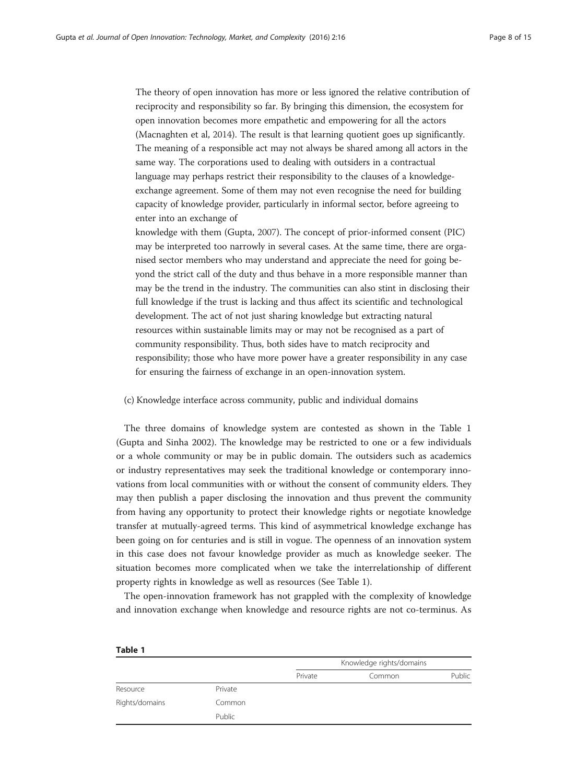The theory of open innovation has more or less ignored the relative contribution of reciprocity and responsibility so far. By bringing this dimension, the ecosystem for open innovation becomes more empathetic and empowering for all the actors (Macnaghten et al, [2014\)](#page-13-0). The result is that learning quotient goes up significantly. The meaning of a responsible act may not always be shared among all actors in the same way. The corporations used to dealing with outsiders in a contractual language may perhaps restrict their responsibility to the clauses of a knowledgeexchange agreement. Some of them may not even recognise the need for building capacity of knowledge provider, particularly in informal sector, before agreeing to enter into an exchange of

knowledge with them (Gupta, [2007](#page-13-0)). The concept of prior-informed consent (PIC) may be interpreted too narrowly in several cases. At the same time, there are organised sector members who may understand and appreciate the need for going beyond the strict call of the duty and thus behave in a more responsible manner than may be the trend in the industry. The communities can also stint in disclosing their full knowledge if the trust is lacking and thus affect its scientific and technological development. The act of not just sharing knowledge but extracting natural resources within sustainable limits may or may not be recognised as a part of community responsibility. Thus, both sides have to match reciprocity and responsibility; those who have more power have a greater responsibility in any case for ensuring the fairness of exchange in an open-innovation system.

#### (c) Knowledge interface across community, public and individual domains

The three domains of knowledge system are contested as shown in the Table 1 (Gupta and Sinha [2002](#page-13-0)). The knowledge may be restricted to one or a few individuals or a whole community or may be in public domain. The outsiders such as academics or industry representatives may seek the traditional knowledge or contemporary innovations from local communities with or without the consent of community elders. They may then publish a paper disclosing the innovation and thus prevent the community from having any opportunity to protect their knowledge rights or negotiate knowledge transfer at mutually-agreed terms. This kind of asymmetrical knowledge exchange has been going on for centuries and is still in vogue. The openness of an innovation system in this case does not favour knowledge provider as much as knowledge seeker. The situation becomes more complicated when we take the interrelationship of different property rights in knowledge as well as resources (See Table 1).

The open-innovation framework has not grappled with the complexity of knowledge and innovation exchange when knowledge and resource rights are not co-terminus. As

| Table 1        |         |                          |        |        |
|----------------|---------|--------------------------|--------|--------|
|                |         | Knowledge rights/domains |        |        |
|                |         | Private                  | Common | Public |
| Resource       | Private |                          |        |        |
| Rights/domains | Common  |                          |        |        |
|                | Public  |                          |        |        |

Table 1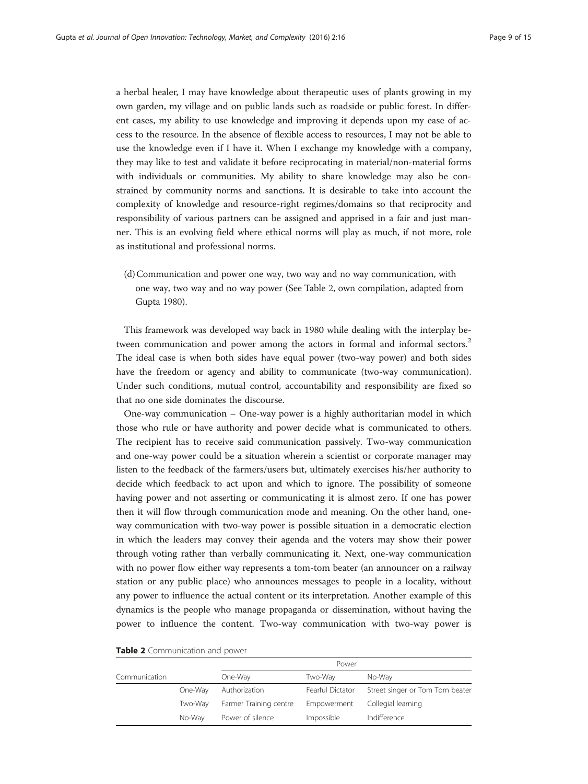a herbal healer, I may have knowledge about therapeutic uses of plants growing in my own garden, my village and on public lands such as roadside or public forest. In different cases, my ability to use knowledge and improving it depends upon my ease of access to the resource. In the absence of flexible access to resources, I may not be able to use the knowledge even if I have it. When I exchange my knowledge with a company, they may like to test and validate it before reciprocating in material/non-material forms with individuals or communities. My ability to share knowledge may also be constrained by community norms and sanctions. It is desirable to take into account the complexity of knowledge and resource-right regimes/domains so that reciprocity and responsibility of various partners can be assigned and apprised in a fair and just manner. This is an evolving field where ethical norms will play as much, if not more, role as institutional and professional norms.

(d)Communication and power one way, two way and no way communication, with one way, two way and no way power (See Table 2, own compilation, adapted from Gupta [1980](#page-12-0)).

This framework was developed way back in 1980 while dealing with the interplay between communication and power among the actors in formal and informal sectors.<sup>2</sup> The ideal case is when both sides have equal power (two-way power) and both sides have the freedom or agency and ability to communicate (two-way communication). Under such conditions, mutual control, accountability and responsibility are fixed so that no one side dominates the discourse.

One-way communication – One-way power is a highly authoritarian model in which those who rule or have authority and power decide what is communicated to others. The recipient has to receive said communication passively. Two-way communication and one-way power could be a situation wherein a scientist or corporate manager may listen to the feedback of the farmers/users but, ultimately exercises his/her authority to decide which feedback to act upon and which to ignore. The possibility of someone having power and not asserting or communicating it is almost zero. If one has power then it will flow through communication mode and meaning. On the other hand, oneway communication with two-way power is possible situation in a democratic election in which the leaders may convey their agenda and the voters may show their power through voting rather than verbally communicating it. Next, one-way communication with no power flow either way represents a tom-tom beater (an announcer on a railway station or any public place) who announces messages to people in a locality, without any power to influence the actual content or its interpretation. Another example of this dynamics is the people who manage propaganda or dissemination, without having the power to influence the content. Two-way communication with two-way power is

|               |         | Power                  |                  |                                 |  |
|---------------|---------|------------------------|------------------|---------------------------------|--|
| Communication |         | One-Way                | Two-Way          | No-Wav                          |  |
|               | One-Way | Authorization          | Fearful Dictator | Street singer or Tom Tom beater |  |
|               | Two-Wav | Farmer Training centre | Empowerment      | Collegial learning              |  |
|               | No-Wav  | Power of silence       | Impossible       | Indifference                    |  |

|  |  | Table 2 Communication and power |  |  |
|--|--|---------------------------------|--|--|
|--|--|---------------------------------|--|--|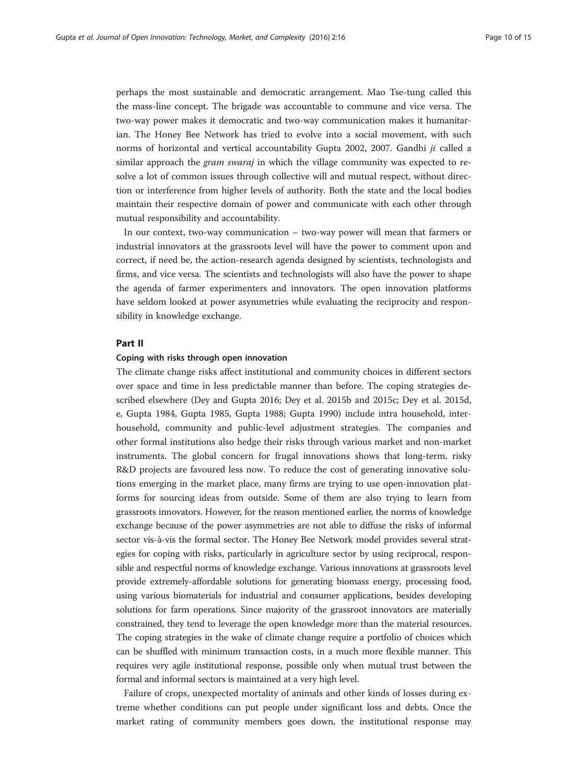perhaps the most sustainable and democratic arrangement. Mao Tse-tung called this the mass-line concept. The brigade was accountable to commune and vice versa. The two-way power makes it democratic and two-way communication makes it humanitarian. The Honey Bee Network has tried to evolve into a social movement, with such norms of horizontal and vertical accountability Gupta [2002](#page-13-0), [2007](#page-13-0). Gandhi ji called a similar approach the *gram swaraj* in which the village community was expected to resolve a lot of common issues through collective will and mutual respect, without direction or interference from higher levels of authority. Both the state and the local bodies maintain their respective domain of power and communicate with each other through mutual responsibility and accountability.

In our context, two-way communication – two-way power will mean that farmers or industrial innovators at the grassroots level will have the power to comment upon and correct, if need be, the action-research agenda designed by scientists, technologists and firms, and vice versa. The scientists and technologists will also have the power to shape the agenda of farmer experimenters and innovators. The open innovation platforms have seldom looked at power asymmetries while evaluating the reciprocity and responsibility in knowledge exchange.

#### Part II

#### Coping with risks through open innovation

The climate change risks affect institutional and community choices in different sectors over space and time in less predictable manner than before. The coping strategies described elsewhere (Dey and Gupta [2016;](#page-12-0) Dey et al. [2015b](#page-12-0) and [2015c](#page-12-0); Dey et al. [2015d](#page-12-0), e, Gupta [1984](#page-12-0), Gupta [1985](#page-12-0), Gupta [1988](#page-12-0); Gupta [1990\)](#page-12-0) include intra household, interhousehold, community and public-level adjustment strategies. The companies and other formal institutions also hedge their risks through various market and non-market instruments. The global concern for frugal innovations shows that long-term, risky R&D projects are favoured less now. To reduce the cost of generating innovative solutions emerging in the market place, many firms are trying to use open-innovation platforms for sourcing ideas from outside. Some of them are also trying to learn from grassroots innovators. However, for the reason mentioned earlier, the norms of knowledge exchange because of the power asymmetries are not able to diffuse the risks of informal sector vis-à-vis the formal sector. The Honey Bee Network model provides several strategies for coping with risks, particularly in agriculture sector by using reciprocal, responsible and respectful norms of knowledge exchange. Various innovations at grassroots level provide extremely-affordable solutions for generating biomass energy, processing food, using various biomaterials for industrial and consumer applications, besides developing solutions for farm operations. Since majority of the grassroot innovators are materially constrained, they tend to leverage the open knowledge more than the material resources. The coping strategies in the wake of climate change require a portfolio of choices which can be shuffled with minimum transaction costs, in a much more flexible manner. This requires very agile institutional response, possible only when mutual trust between the formal and informal sectors is maintained at a very high level.

Failure of crops, unexpected mortality of animals and other kinds of losses during extreme whether conditions can put people under significant loss and debts. Once the market rating of community members goes down, the institutional response may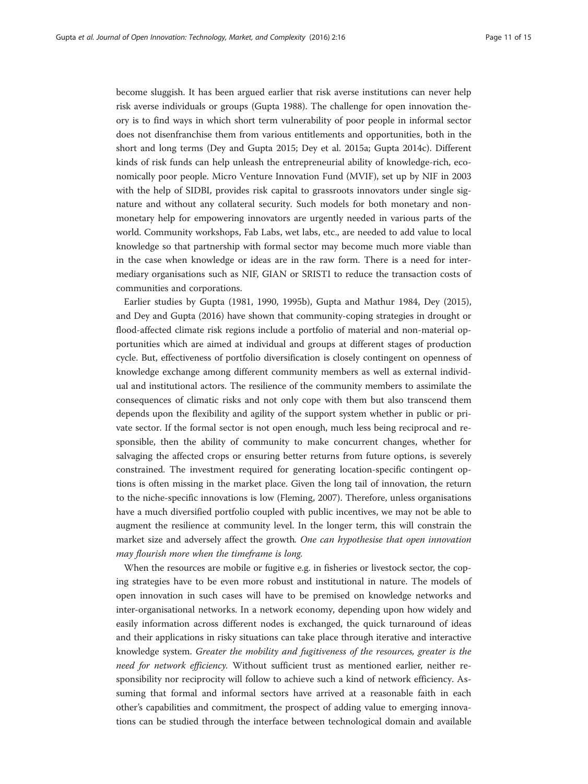become sluggish. It has been argued earlier that risk averse institutions can never help risk averse individuals or groups (Gupta [1988](#page-12-0)). The challenge for open innovation theory is to find ways in which short term vulnerability of poor people in informal sector does not disenfranchise them from various entitlements and opportunities, both in the short and long terms (Dey and Gupta [2015;](#page-12-0) Dey et al. [2015a](#page-12-0); Gupta [2014c](#page-13-0)). Different kinds of risk funds can help unleash the entrepreneurial ability of knowledge-rich, economically poor people. Micro Venture Innovation Fund (MVIF), set up by NIF in 2003 with the help of SIDBI, provides risk capital to grassroots innovators under single signature and without any collateral security. Such models for both monetary and nonmonetary help for empowering innovators are urgently needed in various parts of the world. Community workshops, Fab Labs, wet labs, etc., are needed to add value to local knowledge so that partnership with formal sector may become much more viable than in the case when knowledge or ideas are in the raw form. There is a need for intermediary organisations such as NIF, GIAN or SRISTI to reduce the transaction costs of communities and corporations.

Earlier studies by Gupta ([1981](#page-12-0), [1990](#page-12-0), [1995b](#page-12-0)), Gupta and Mathur [1984](#page-13-0), Dey ([2015](#page-12-0)), and Dey and Gupta [\(2016\)](#page-12-0) have shown that community-coping strategies in drought or flood-affected climate risk regions include a portfolio of material and non-material opportunities which are aimed at individual and groups at different stages of production cycle. But, effectiveness of portfolio diversification is closely contingent on openness of knowledge exchange among different community members as well as external individual and institutional actors. The resilience of the community members to assimilate the consequences of climatic risks and not only cope with them but also transcend them depends upon the flexibility and agility of the support system whether in public or private sector. If the formal sector is not open enough, much less being reciprocal and responsible, then the ability of community to make concurrent changes, whether for salvaging the affected crops or ensuring better returns from future options, is severely constrained. The investment required for generating location-specific contingent options is often missing in the market place. Given the long tail of innovation, the return to the niche-specific innovations is low (Fleming, [2007\)](#page-12-0). Therefore, unless organisations have a much diversified portfolio coupled with public incentives, we may not be able to augment the resilience at community level. In the longer term, this will constrain the market size and adversely affect the growth. One can hypothesise that open innovation may flourish more when the timeframe is long.

When the resources are mobile or fugitive e.g. in fisheries or livestock sector, the coping strategies have to be even more robust and institutional in nature. The models of open innovation in such cases will have to be premised on knowledge networks and inter-organisational networks. In a network economy, depending upon how widely and easily information across different nodes is exchanged, the quick turnaround of ideas and their applications in risky situations can take place through iterative and interactive knowledge system. Greater the mobility and fugitiveness of the resources, greater is the need for network efficiency. Without sufficient trust as mentioned earlier, neither responsibility nor reciprocity will follow to achieve such a kind of network efficiency. Assuming that formal and informal sectors have arrived at a reasonable faith in each other's capabilities and commitment, the prospect of adding value to emerging innovations can be studied through the interface between technological domain and available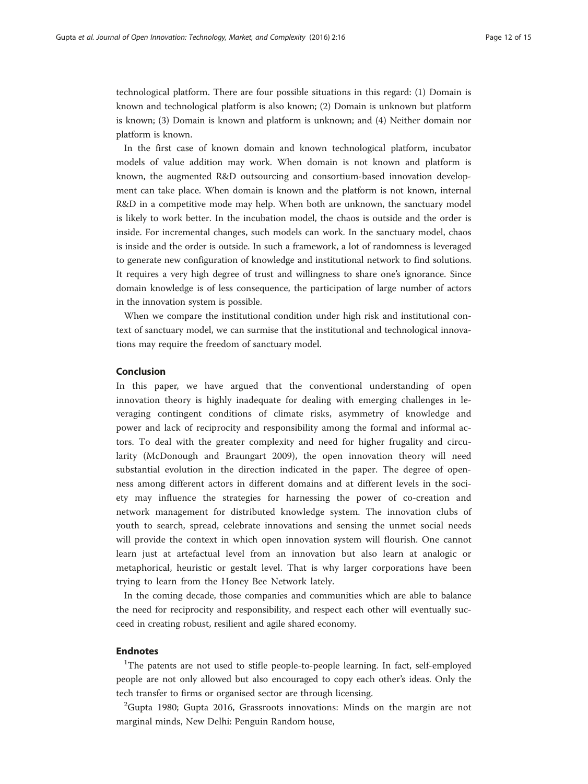technological platform. There are four possible situations in this regard: (1) Domain is known and technological platform is also known; (2) Domain is unknown but platform is known; (3) Domain is known and platform is unknown; and (4) Neither domain nor platform is known.

In the first case of known domain and known technological platform, incubator models of value addition may work. When domain is not known and platform is known, the augmented R&D outsourcing and consortium-based innovation development can take place. When domain is known and the platform is not known, internal R&D in a competitive mode may help. When both are unknown, the sanctuary model is likely to work better. In the incubation model, the chaos is outside and the order is inside. For incremental changes, such models can work. In the sanctuary model, chaos is inside and the order is outside. In such a framework, a lot of randomness is leveraged to generate new configuration of knowledge and institutional network to find solutions. It requires a very high degree of trust and willingness to share one's ignorance. Since domain knowledge is of less consequence, the participation of large number of actors in the innovation system is possible.

When we compare the institutional condition under high risk and institutional context of sanctuary model, we can surmise that the institutional and technological innovations may require the freedom of sanctuary model.

# Conclusion

In this paper, we have argued that the conventional understanding of open innovation theory is highly inadequate for dealing with emerging challenges in leveraging contingent conditions of climate risks, asymmetry of knowledge and power and lack of reciprocity and responsibility among the formal and informal actors. To deal with the greater complexity and need for higher frugality and circularity (McDonough and Braungart [2009\)](#page-13-0), the open innovation theory will need substantial evolution in the direction indicated in the paper. The degree of openness among different actors in different domains and at different levels in the society may influence the strategies for harnessing the power of co-creation and network management for distributed knowledge system. The innovation clubs of youth to search, spread, celebrate innovations and sensing the unmet social needs will provide the context in which open innovation system will flourish. One cannot learn just at artefactual level from an innovation but also learn at analogic or metaphorical, heuristic or gestalt level. That is why larger corporations have been trying to learn from the Honey Bee Network lately.

In the coming decade, those companies and communities which are able to balance the need for reciprocity and responsibility, and respect each other will eventually succeed in creating robust, resilient and agile shared economy.

# Endnotes

<sup>1</sup>The patents are not used to stifle people-to-people learning. In fact, self-employed people are not only allowed but also encouraged to copy each other's ideas. Only the tech transfer to firms or organised sector are through licensing.

 $^{2}$ Gupta [1980](#page-12-0); Gupta [2016,](#page-13-0) Grassroots innovations: Minds on the margin are not marginal minds, New Delhi: Penguin Random house,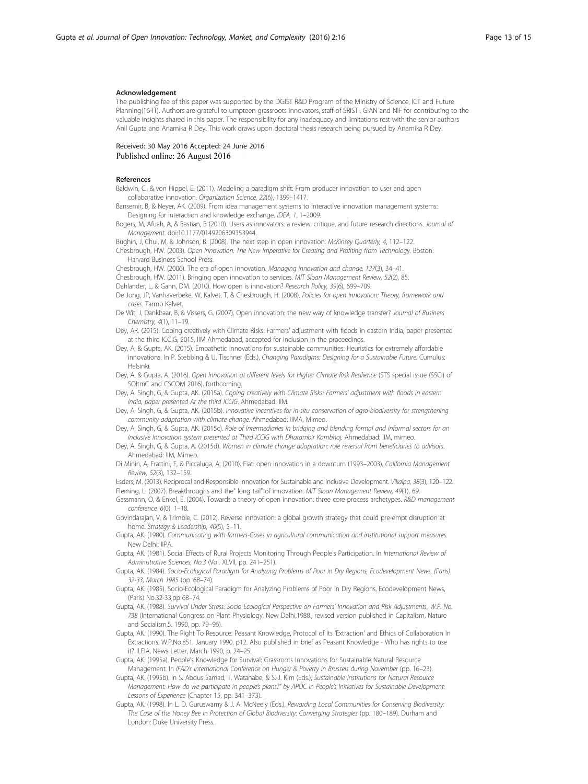#### <span id="page-12-0"></span>Acknowledgement

The publishing fee of this paper was supported by the DGIST R&D Program of the Ministry of Science, ICT and Future Planning(16-IT). Authors are grateful to umpteen grassroots innovators, staff of SRISTI, GIAN and NIF for contributing to the valuable insights shared in this paper. The responsibility for any inadequacy and limitations rest with the senior authors Anil Gupta and Anamika R Dey. This work draws upon doctoral thesis research being pursued by Anamika R Dey.

#### Received: 30 May 2016 Accepted: 24 June 2016 Published online: 26 August 2016

#### References

Baldwin, C., & von Hippel, E. (2011). Modeling a paradigm shift: From producer innovation to user and open collaborative innovation. Organization Science, 22(6), 1399–1417.

Bansemir, B, & Neyer, AK. (2009). From idea management systems to interactive innovation management systems: Designing for interaction and knowledge exchange. IDEA, 1, 1–2009.

Bogers, M, Afuah, A, & Bastian, B (2010). Users as innovators: a review, critique, and future research directions. Journal of Management. doi[:10.1177/0149206309353944.](http://dx.doi.org/10.1177/0149206309353944)

Bughin, J, Chui, M, & Johnson, B. (2008). The next step in open innovation. McKinsey Quarterly, 4, 112–122.

Chesbrough, HW. (2003). Open Innovation: The New Imperative for Creating and Profiting from Technology. Boston: Harvard Business School Press.

Chesbrough, HW. (2006). The era of open innovation. Managing innovation and change, 127(3), 34–41. Chesbrough, HW. (2011). Bringing open innovation to services. MIT Sloan Management Review, 52(2), 85. Dahlander, L, & Gann, DM. (2010). How open is innovation? Research Policy, 39(6), 699–709.

- De Jong, JP, Vanhaverbeke, W, Kalvet, T, & Chesbrough, H. (2008). Policies for open innovation: Theory, framework and cases. Tarmo Kalvet.
- De Wit, J, Dankbaar, B, & Vissers, G. (2007). Open innovation: the new way of knowledge transfer? Journal of Business Chemistry, 4(1), 11–19.

Dey, AR. (2015). Coping creatively with Climate Risks: Farmers' adjustment with floods in eastern India, paper presented at the third ICCIG, 2015, IIM Ahmedabad, accepted for inclusion in the proceedings.

Dey, A, & Gupta, AK. (2015). Empathetic innovations for sustainable communities: Heuristics for extremely affordable innovations. In P. Stebbing & U. Tischner (Eds.), Changing Paradigms: Designing for a Sustainable Future. Cumulus: Helsinki.

Dey, A, & Gupta, A. (2016). Open Innovation at different levels for Higher Climate Risk Resilience (STS special issue (SSCI) of SOItmC and CSCOM 2016). forthcoming.

Dey, A, Singh, G, & Gupta, AK. (2015a). Coping creatively with Climate Risks: Farmers' adjustment with floods in eastern India, paper presented At the third ICCIG. Ahmedabad: IIM.

- Dey, A, Singh, G, & Gupta, AK. (2015b). Innovative incentives for in-situ conservation of agro-biodiversity for strengthening community adaptation with climate change. Ahmedabad: IIMA, Mimeo.
- Dey, A, Singh, G, & Gupta, AK. (2015c). Role of Intermediaries in bridging and blending formal and informal sectors for an Inclusive Innovation system presented at Third ICCIG with Dharambir Kambhoj. Ahmedabad: IIM, mimeo.
- Dey, A, Singh, G, & Gupta, A. (2015d). Women in climate change adaptation: role reversal from beneficiaries to advisors. Ahmedabad: IIM, Mimeo.
- Di Minin, A, Frattini, F, & Piccaluga, A. (2010). Fiat: open innovation in a downturn (1993–2003). California Management Review, 52(3), 132–159.

Esders, M. (2013). Reciprocal and Responsible Innovation for Sustainable and Inclusive Development. Vikalpa, 38(3), 120–122. Fleming, L. (2007). Breakthroughs and the" long tail" of innovation. MIT Sloan Management Review, 49(1), 69.

Gassmann, O, & Enkel, E. (2004). Towards a theory of open innovation: three core process archetypes. R&D management conference, 6(0), 1–18.

Govindarajan, V, & Trimble, C. (2012). Reverse innovation: a global growth strategy that could pre-empt disruption at home. Strategy & Leadership, 40(5), 5-11.

Gupta, AK. (1980). Communicating with farmers-Cases in agricultural communication and institutional support measures. New Delhi: IIPA.

Gupta, AK. (1981). Social Effects of Rural Projects Monitoring Through People's Participation. In International Review of Administrative Sciences, No.3 (Vol. XLVII, pp. 241–251).

Gupta, AK. (1984). Socio-Ecological Paradigm for Analyzing Problems of Poor in Dry Regions, Ecodevelopment News, (Paris) 32-33, March 1985 (pp. 68–74).

Gupta, AK. (1985). Socio-Ecological Paradigm for Analyzing Problems of Poor in Dry Regions, Ecodevelopment News, (Paris) No.32-33,pp 68–74.

Gupta, AK. (1988). Survival Under Stress: Socio Ecological Perspective on Farmers' Innovation and Risk Adjustments, W.P. No. 738 (International Congress on Plant Physiology, New Delhi,1988., revised version published in Capitalism, Nature and Socialism,5. 1990, pp. 79–96).

Gupta, AK. (1990). The Right To Resource: Peasant Knowledge, Protocol of Its 'Extraction' and Ethics of Collaboration In Extractions. W.P.No.851, January 1990, p12. Also published in brief as Peasant Knowledge - Who has rights to use it? ILEIA, News Letter, March 1990, p. 24–25.

Gupta, AK. (1995a). People's Knowledge for Survival: Grassroots Innovations for Sustainable Natural Resource Management. In IFAD's International Conference on Hunger & Poverty in Brussels during November (pp. 16–23).

Gupta, AK. (1995b). In S. Abdus Samad, T. Watanabe, & S.-J. Kim (Eds.), Sustainable Institutions for Natural Resource Management: How do we participate in people's plans?" by APDC in People's Initiatives for Sustainable Development: Lessons of Experience (Chapter 15, pp. 341–373).

Gupta, AK. (1998). In L. D. Guruswamy & J. A. McNeely (Eds.), Rewarding Local Communities for Conserving Biodiversity: The Case of the Honey Bee in Protection of Global Biodiversity: Converging Strategies (pp. 180–189). Durham and London: Duke University Press.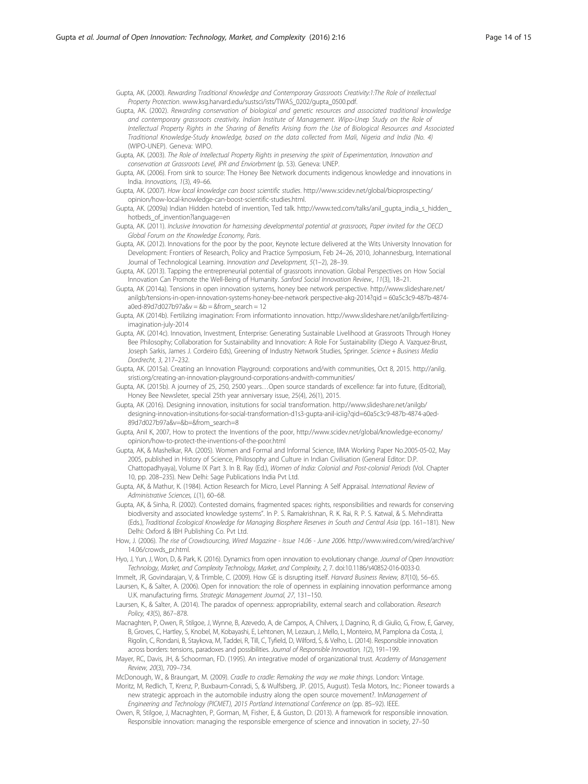<span id="page-13-0"></span>Gupta, AK. (2000). Rewarding Traditional Knowledge and Contemporary Grassroots Creativity:1:The Role of Intellectual Property Protection. [www.ksg.harvard.edu/sustsci/ists/TWAS\\_0202/gupta\\_0500.pdf.](http://www.ksg.harvard.edu/sustsci/ists/TWAS_0202/gupta_0500.pdf)

- Gupta, AK. (2002). Rewarding conservation of biological and genetic resources and associated traditional knowledge and contemporary grassroots creativity. Indian Institute of Management. Wipo-Unep Study on the Role of Intellectual Property Rights in the Sharing of Benefits Arising from the Use of Biological Resources and Associated Traditional Knowledge-Study knowledge, based on the data collected from Mali, Nigeria and India (No. 4) (WIPO-UNEP). Geneva: WIPO.
- Gupta, AK. (2003). The Role of Intellectual Property Rights in preserving the spirit of Experimentation, Innovation and conservation at Grassroots Level, IPR and Enviorbment (p. 53). Geneva: UNEP.
- Gupta, AK. (2006). From sink to source: The Honey Bee Network documents indigenous knowledge and innovations in India. Innovations, 1(3), 49–66.
- Gupta, AK. (2007). How local knowledge can boost scientific studies. [http://www.scidev.net/global/bioprospecting/](http://www.scidev.net/global/bioprospecting/opinion/how-local-knowledge-can-boost-scientific-studies.html) [opinion/how-local-knowledge-can-boost-scientific-studies.html.](http://www.scidev.net/global/bioprospecting/opinion/how-local-knowledge-can-boost-scientific-studies.html)
- Gupta, AK. (2009a) Indian Hidden hotebd of invention, Ted talk. [http://www.ted.com/talks/anil\\_gupta\\_india\\_s\\_hidden\\_](http://www.ted.com/talks/anil_gupta_india_s_hidden_hotbeds_of_invention?language=en) [hotbeds\\_of\\_invention?language=en](http://www.ted.com/talks/anil_gupta_india_s_hidden_hotbeds_of_invention?language=en)
- Gupta, AK. (2011). Inclusive Innovation for harnessing developmental potential at grassroots, Paper invited for the OECD Global Forum on the Knowledge Economy, Paris.
- Gupta, AK. (2012). Innovations for the poor by the poor, Keynote lecture delivered at the Wits University Innovation for Development: Frontiers of Research, Policy and Practice Symposium, Feb 24–26, 2010, Johannesburg, International Journal of Technological Learning. Innovation and Development, 5(1–2), 28–39.
- Gupta, AK. (2013). Tapping the entrepreneurial potential of grassroots innovation. Global Perspectives on How Social Innovation Can Promote the Well-Being of Humanity. Sanford Social Innovation Review., 11(3), 18–21.
- Gupta, AK (2014a). Tensions in open innovation systems, honey bee network perspective. [http://www.slideshare.net/](http://www.slideshare.net/anilgb/tensions-in-open-innovation-systems-honey-bee-network) [anilgb/tensions-in-open-innovation-systems-honey-bee-network](http://www.slideshare.net/anilgb/tensions-in-open-innovation-systems-honey-bee-network) perspective-akg-2014?qid = 60a5c3c9-487b-4874  $a0$ ed-89d7d027b97a&v = &b = &from\_search = 12
- Gupta, AK (2014b). Fertilizing imagination: From informationto innovation. [http://www.slideshare.net/anilgb/fertilizing](http://www.slideshare.net/anilgb/fertilizing-imagination-july-2014)[imagination-july-2014](http://www.slideshare.net/anilgb/fertilizing-imagination-july-2014)
- Gupta, AK. (2014c). Innovation, Investment, Enterprise: Generating Sustainable Livelihood at Grassroots Through Honey Bee Philosophy; Collaboration for Sustainability and Innovation: A Role For Sustainability (Diego A. Vazquez-Brust, Joseph Sarkis, James J. Cordeiro Eds), Greening of Industry Network Studies, Springer. Science + Business Media Dordrecht, 3, 217–232.
- Gupta, AK. (2015a). Creating an Innovation Playground: corporations and/with communities, Oct 8, 2015. [http://anilg.](http://anilg.sristi.org/creating-an-innovation-playground-corporations-andwith-communities/) [sristi.org/creating-an-innovation-playground-corporations-andwith-communities/](http://anilg.sristi.org/creating-an-innovation-playground-corporations-andwith-communities/)
- Gupta, AK. (2015b). A journey of 25, 250, 2500 years…Open source standards of excellence: far into future, (Editorial), Honey Bee Newsleter, special 25th year anniversary issue, 25(4), 26(1), 2015.
- Gupta, AK (2016). Designing innovation, insitutions for social transformation. [http://www.slideshare.net/anilgb/](http://www.slideshare.net/anilgb/designing-innovation-insitutions-for-social-transformation-d1s3-gupta-anil-iciig?qid=60a5c3c9-487b-4874-a0ed-89d7d027b97a&v=&b=&from_search=8) [designing-innovation-insitutions-for-social-transformation-d1s3-gupta-anil-iciig?qid=60a5c3c9-487b-4874-a0ed-](http://www.slideshare.net/anilgb/designing-innovation-insitutions-for-social-transformation-d1s3-gupta-anil-iciig?qid=60a5c3c9-487b-4874-a0ed-89d7d027b97a&v=&b=&from_search=8)[89d7d027b97a&v=&b=&from\\_search=8](http://www.slideshare.net/anilgb/designing-innovation-insitutions-for-social-transformation-d1s3-gupta-anil-iciig?qid=60a5c3c9-487b-4874-a0ed-89d7d027b97a&v=&b=&from_search=8)
- Gupta, Anil K, 2007, How to protect the Inventions of the poor, [http://www.scidev.net/global/knowledge-economy/](http://www.scidev.net/global/knowledge-economy/opinion/how-to-protect-the-inventions-of-the-poor.html) [opinion/how-to-protect-the-inventions-of-the-poor.html](http://www.scidev.net/global/knowledge-economy/opinion/how-to-protect-the-inventions-of-the-poor.html)
- Gupta, AK, & Mashelkar, RA. (2005). Women and Formal and Informal Science, IIMA Working Paper No.2005-05-02, May 2005, published in History of Science, Philosophy and Culture in Indian Civilisation (General Editor: D.P. Chattopadhyaya), Volume IX Part 3. In B. Ray (Ed.), Women of India: Colonial and Post-colonial Periods (Vol. Chapter 10, pp. 208–235). New Delhi: Sage Publications India Pvt Ltd.
- Gupta, AK, & Mathur, K. (1984). Action Research for Micro, Level Planning: A Self Appraisal. International Review of Administrative Sciences, L(1), 60–68.
- Gupta, AK, & Sinha, R. (2002). Contested domains, fragmented spaces: rights, responsibilities and rewards for conserving biodiversity and associated knowledge systems". In P. S. Ramakrishnan, R. K. Rai, R. P. S. Katwal, & S. Mehndiratta (Eds.), Traditional Ecological Knowledge for Managing Biosphere Reserves in South and Central Asia (pp. 161–181). New Delhi: Oxford & IBH Publishing Co. Pvt Ltd.
- How, J. (2006). The rise of Crowdsourcing, Wired Magazine Issue 14.06 June 2006. [http://www.wired.com/wired/archive/](http://www.wired.com/wired/archive/14.06/crowds_pr.html) [14.06/crowds\\_pr.html](http://www.wired.com/wired/archive/14.06/crowds_pr.html)
- Hyo, J, Yun, J, Won, D, & Park, K. (2016). Dynamics from open innovation to evolutionary change. Journal of Open Innovation: Technology, Market, and Complexity Technology, Market, and Complexity, 2, 7. doi:[10.1186/s40852-016-0033-0.](http://dx.doi.org/10.1186/s40852-016-0033-0)
- Immelt, JR, Govindarajan, V, & Trimble, C. (2009). How GE is disrupting itself. Harvard Business Review, 87(10), 56–65.
- Laursen, K., & Salter, A. (2006). Open for innovation: the role of openness in explaining innovation performance among U.K. manufacturing firms. Strategic Management Journal, 27, 131–150.
- Laursen, K., & Salter, A. (2014). The paradox of openness: appropriability, external search and collaboration. Research Policy, 43(5), 867–878.
- Macnaghten, P, Owen, R, Stilgoe, J, Wynne, B, Azevedo, A, de Campos, A, Chilvers, J, Dagnino, R, di Giulio, G, Frow, E, Garvey, B, Groves, C, Hartley, S, Knobel, M, Kobayashi, E, Lehtonen, M, Lezaun, J, Mello, L, Monteiro, M, Pamplona da Costa, J, Rigolin, C, Rondani, B, Staykova, M, Taddei, R, Till, C, Tyfield, D, Wilford, S, & Velho, L. (2014). Responsible innovation across borders: tensions, paradoxes and possibilities. Journal of Responsible Innovation, 1(2), 191-199.
- Mayer, RC, Davis, JH, & Schoorman, FD. (1995). An integrative model of organizational trust. Academy of Management Review, 20(3), 709–734.
- McDonough, W., & Braungart, M. (2009). Cradle to cradle: Remaking the way we make things. London: Vintage.
- Moritz, M, Redlich, T, Krenz, P, Buxbaum-Conradi, S, & Wulfsberg, JP. (2015, August). Tesla Motors, Inc.: Pioneer towards a new strategic approach in the automobile industry along the open source movement?. InManagement of Engineering and Technology (PICMET), 2015 Portland International Conference on (pp. 85–92). IEEE.
- Owen, R, Stilgoe, J, Macnaghten, P, Gorman, M, Fisher, E, & Guston, D. (2013). A framework for responsible innovation. Responsible innovation: managing the responsible emergence of science and innovation in society, 27–50